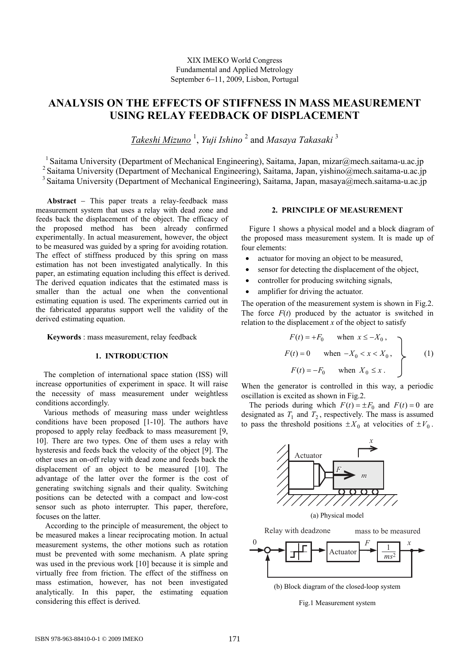# **ANALYSIS ON THE EFFECTS OF STIFFNESS IN MASS MEASUREMENT USING RELAY FEEDBACK OF DISPLACEMENT**

*Takeshi Mizuno* <sup>1</sup> , *Yuji Ishino* <sup>2</sup> and *Masaya Takasaki* <sup>3</sup>

 $1$  Saitama University (Department of Mechanical Engineering), Saitama, Japan, mizar@mech.saitama-u.ac.jp <sup>2</sup> Saitama University (Department of Mechanical Engineering), Saitama, Japan, yishino@mech.saitama-u.ac.jp <sup>3</sup> Saitama University (Department of Mechanical Engineering), Saitama, Japan, masaya@mech.saitama-u.ac.jp

**Abstract** − This paper treats a relay-feedback mass measurement system that uses a relay with dead zone and feeds back the displacement of the object. The efficacy of the proposed method has been already confirmed experimentally. In actual measurement, however, the object to be measured was guided by a spring for avoiding rotation. The effect of stiffness produced by this spring on mass estimation has not been investigated analytically. In this paper, an estimating equation including this effect is derived. The derived equation indicates that the estimated mass is smaller than the actual one when the conventional estimating equation is used. The experiments carried out in the fabricated apparatus support well the validity of the derived estimating equation.

**Keywords** : mass measurement, relay feedback

#### **1. INTRODUCTION**

The completion of international space station (ISS) will increase opportunities of experiment in space. It will raise the necessity of mass measurement under weightless conditions accordingly.

Various methods of measuring mass under weightless conditions have been proposed [1-10]. The authors have proposed to apply relay feedback to mass measurement [9, 10]. There are two types. One of them uses a relay with hysteresis and feeds back the velocity of the object [9]. The other uses an on-off relay with dead zone and feeds back the displacement of an object to be measured [10]. The advantage of the latter over the former is the cost of generating switching signals and their quality. Switching positions can be detected with a compact and low-cost sensor such as photo interrupter. This paper, therefore, focuses on the latter.

 According to the principle of measurement, the object to be measured makes a linear reciprocating motion. In actual measurement systems, the other motions such as rotation must be prevented with some mechanism. A plate spring was used in the previous work [10] because it is simple and virtually free from friction. The effect of the stiffness on mass estimation, however, has not been investigated analytically. In this paper, the estimating equation considering this effect is derived.

# **2. PRINCIPLE OF MEASUREMENT**

Figure 1 shows a physical model and a block diagram of the proposed mass measurement system. It is made up of four elements:

- actuator for moving an object to be measured,
- sensor for detecting the displacement of the object,
- controller for producing switching signals,
- amplifier for driving the actuator.

The operation of the measurement system is shown in Fig.2. The force  $F(t)$  produced by the actuator is switched in relation to the displacement  $x$  of the object to satisfy

$$
F(t) = +F_0 \quad \text{when } x \le -X_0,
$$
  
\n
$$
F(t) = 0 \quad \text{when } -X_0 < x < X_0,
$$
  
\n
$$
F(t) = -F_0 \quad \text{when } X_0 \le x.
$$
\n(1)

When the generator is controlled in this way, a periodic oscillation is excited as shown in Fig.2.

The periods during which  $F(t) = \pm F_0$  and  $F(t) = 0$  are designated as  $T_1$  and  $T_2$ , respectively. The mass is assumed to pass the threshold positions  $\pm X_0$  at velocities of  $\pm V_0$ .



Fig.1 Measurement system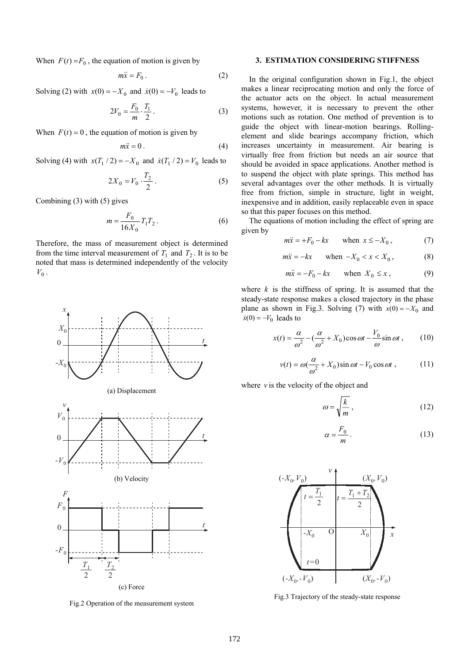When  $F(t) = F_0$ , the equation of motion is given by

$$
m\ddot{x} = F_0 \,. \tag{2}
$$

Solving (2) with  $x(0) = -X_0$  and  $\dot{x}(0) = -V_0$  leads to

$$
2V_0 = \frac{F_0}{m} \cdot \frac{T_1}{2} \,. \tag{3}
$$

When  $F(t) = 0$ , the equation of motion is given by

$$
m\ddot{x} = 0.
$$
 (4)

Solving (4) with  $x(T_1 / 2) = -X_0$  and  $\dot{x}(T_1 / 2) = V_0$  leads to

$$
2X_0 = V_0 \cdot \frac{T_2}{2} \,. \tag{5}
$$

Combining (3) with (5) gives

$$
m = \frac{F_0}{16X_0} T_1 T_2 \,. \tag{6}
$$

Therefore, the mass of measurement object is determined from the time interval measurement of  $T_1$  and  $T_2$ . It is to be noted that mass is determined independently of the velocity  $V_0$ .



Fig.2 Operation of the measurement system

## **3. ESTIMATION CONSIDERING STIFFNESS**

In the original configuration shown in Fig.1, the object makes a linear reciprocating motion and only the force of the actuator acts on the object. In actual measurement systems, however, it is necessary to prevent the other motions such as rotation. One method of prevention is to guide the object with linear-motion bearings. Rollingelement and slide bearings accompany friction, which increases uncertainty in measurement. Air bearing is virtually free from friction but needs an air source that should be avoided in space applications. Another method is to suspend the object with plate springs. This method has several advantages over the other methods. It is virtually free from friction, simple in structure, light in weight, inexpensive and in addition, easily replaceable even in space so that this paper focuses on this method.

The equations of motion including the effect of spring are given by

$$
m\ddot{x} = +F_0 - kx \qquad \text{when } x \le -X_0, \tag{7}
$$

$$
m\ddot{x} = -kx \qquad \text{when } -X_0 < x < X_0 \,, \tag{8}
$$

$$
m\ddot{x} = -F_0 - kx \quad \text{when } X_0 \le x \,, \tag{9}
$$

where  $k$  is the stiffness of spring. It is assumed that the steady-state response makes a closed trajectory in the phase plane as shown in Fig.3. Solving (7) with  $x(0) = -X_0$  and  $\dot{x}(0) = -V_0$  leads to

$$
x(t) = \frac{\alpha}{\omega^2} - \left(\frac{\alpha}{\omega^2} + X_0\right)\cos\omega t - \frac{V_0}{\omega}\sin\omega t\,,\qquad(10)
$$

$$
v(t) = \omega \left(\frac{\alpha}{\omega^2} + X_0\right) \sin \omega t - V_0 \cos \omega t , \qquad (11)
$$

where  $\nu$  is the velocity of the object and

$$
\omega = \sqrt{\frac{k}{m}},\tag{12}
$$

$$
\alpha = \frac{F_0}{m} \,. \tag{13}
$$



Fig.3 Trajectory of the steady-state response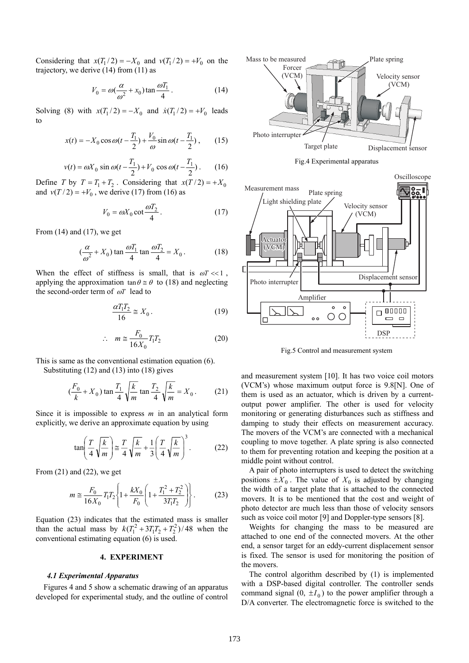Considering that  $x(T_1/2) = -X_0$  and  $v(T_1/2) = +V_0$  on the trajectory, we derive (14) from (11) as

$$
V_0 = \omega \left(\frac{\alpha}{\omega^2} + x_0\right) \tan \frac{\omega T_1}{4} \,. \tag{14}
$$

Solving (8) with  $x(T_1/2) = -X_0$  and  $\dot{x}(T_1/2) = +V_0$  leads to

$$
x(t) = -X_0 \cos \omega (t - \frac{T_1}{2}) + \frac{V_0}{\omega} \sin \omega (t - \frac{T_1}{2}), \qquad (15)
$$

$$
v(t) = \omega X_0 \sin \omega (t - \frac{T_1}{2}) + V_0 \cos \omega (t - \frac{T_1}{2}).
$$
 (16)

Define *T* by  $T = T_1 + T_2$ . Considering that  $x(T/2) = +X_0$ and  $v(T/2) = +V_0$ , we derive (17) from (16) as

$$
V_0 = \omega X_0 \cot \frac{\omega T_2}{4} \,. \tag{17}
$$

From (14) and (17), we get

$$
\left(\frac{\alpha}{\omega^2} + X_0\right) \tan \frac{\omega T_1}{4} \tan \frac{\omega T_2}{4} = X_0 \,. \tag{18}
$$

When the effect of stiffness is small, that is  $\omega T \ll 1$ . applying the approximation  $\tan \theta \approx \theta$  to (18) and neglecting the second-order term of ω*T* lead to

$$
\frac{\alpha T_1 T_2}{16} \cong X_0 \,. \tag{19}
$$

$$
\therefore m \cong \frac{F_0}{16X_0} T_1 T_2 \tag{20}
$$

This is same as the conventional estimation equation (6). Substituting (12) and (13) into (18) gives

$$
(\frac{F_0}{k} + X_0) \tan \frac{T_1}{4} \sqrt{\frac{k}{m}} \tan \frac{T_2}{4} \sqrt{\frac{k}{m}} = X_0.
$$
 (21)

Since it is impossible to express *m* in an analytical form explicitly, we derive an approximate equation by using

$$
\tan\left(\frac{T}{4}\sqrt{\frac{k}{m}}\right) \approx \frac{T}{4}\sqrt{\frac{k}{m}} + \frac{1}{3}\left(\frac{T}{4}\sqrt{\frac{k}{m}}\right)^3.
$$
 (22)

From  $(21)$  and  $(22)$ , we get

$$
m \approx \frac{F_0}{16X_0} T_1 T_2 \left\{ 1 + \frac{kX_0}{F_0} \left( 1 + \frac{T_1^2 + T_2^2}{3T_1 T_2} \right) \right\}.
$$
 (23)

Equation (23) indicates that the estimated mass is smaller than the actual mass by  $k(T_1^2 + 3T_1T_2 + T_2^2)/48$  when the conventional estimating equation (6) is used.

## **4. EXPERIMENT**

### *4.1 Experimental Apparatus*

Figures 4 and 5 show a schematic drawing of an apparatus developed for experimental study, and the outline of control



Fig.4 Experimental apparatus



Fig.5 Control and measurement system

and measurement system [10]. It has two voice coil motors (VCM's) whose maximum output force is 9.8[N]. One of them is used as an actuator, which is driven by a currentoutput power amplifier. The other is used for velocity monitoring or generating disturbances such as stiffness and damping to study their effects on measurement accuracy. The movers of the VCM's are connected with a mechanical coupling to move together. A plate spring is also connected to them for preventing rotation and keeping the position at a middle point without control.

A pair of photo interrupters is used to detect the switching positions  $\pm X_0$ . The value of  $X_0$  is adjusted by changing the width of a target plate that is attached to the connected movers. It is to be mentioned that the cost and weight of photo detector are much less than those of velocity sensors such as voice coil motor [9] and Doppler-type sensors [8].

Weights for changing the mass to be measured are attached to one end of the connected movers. At the other end, a sensor target for an eddy-current displacement sensor is fixed. The sensor is used for monitoring the position of the movers.

The control algorithm described by (1) is implemented with a DSP-based digital controller. The controller sends command signal  $(0, \pm I_0)$  to the power amplifier through a D/A converter. The electromagnetic force is switched to the